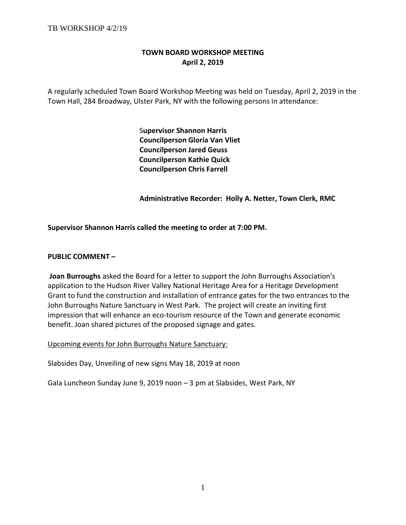# **TOWN BOARD WORKSHOP MEETING April 2, 2019**

A regularly scheduled Town Board Workshop Meeting was held on Tuesday, April 2, 2019 in the Town Hall, 284 Broadway, Ulster Park, NY with the following persons in attendance:

> S**upervisor Shannon Harris Councilperson Gloria Van Vliet Councilperson Jared Geuss Councilperson Kathie Quick Councilperson Chris Farrell**

 **Administrative Recorder: Holly A. Netter, Town Clerk, RMC**

**Supervisor Shannon Harris called the meeting to order at 7:00 PM.** 

#### **PUBLIC COMMENT –**

**Joan Burroughs** asked the Board for a letter to support the John Burroughs Association's application to the Hudson River Valley National Heritage Area for a Heritage Development Grant to fund the construction and installation of entrance gates for the two entrances to the John Burroughs Nature Sanctuary in West Park. The project will create an inviting first impression that will enhance an eco-tourism resource of the Town and generate economic benefit. Joan shared pictures of the proposed signage and gates.

Upcoming events for John Burroughs Nature Sanctuary:

Slabsides Day, Unveiling of new signs May 18, 2019 at noon

Gala Luncheon Sunday June 9, 2019 noon – 3 pm at Slabsides, West Park, NY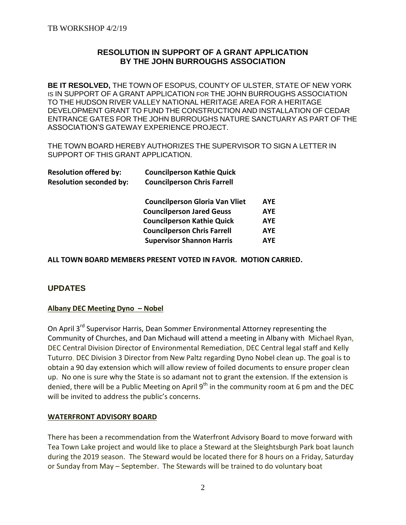# **RESOLUTION IN SUPPORT OF A GRANT APPLICATION BY THE JOHN BURROUGHS ASSOCIATION**

**BE IT RESOLVED,** THE TOWN OF ESOPUS, COUNTY OF ULSTER, STATE OF NEW YORK IS IN SUPPORT OF A GRANT APPLICATION FOR THE JOHN BURROUGHS ASSOCIATION TO THE HUDSON RIVER VALLEY NATIONAL HERITAGE AREA FOR A HERITAGE DEVELOPMENT GRANT TO FUND THE CONSTRUCTION AND INSTALLATION OF CEDAR ENTRANCE GATES FOR THE JOHN BURROUGHS NATURE SANCTUARY AS PART OF THE ASSOCIATION'S GATEWAY EXPERIENCE PROJECT.

THE TOWN BOARD HEREBY AUTHORIZES THE SUPERVISOR TO SIGN A LETTER IN SUPPORT OF THIS GRANT APPLICATION.

| <b>Resolution offered by:</b>  | <b>Councilperson Kathie Quick</b>     |            |
|--------------------------------|---------------------------------------|------------|
| <b>Resolution seconded by:</b> | <b>Councilperson Chris Farrell</b>    |            |
|                                | <b>Councilperson Gloria Van Vliet</b> | <b>AYE</b> |
|                                | <b>Councilperson Jared Geuss</b>      | <b>AYE</b> |
|                                | <b>Councilperson Kathie Quick</b>     | <b>AYE</b> |
|                                | <b>Councilperson Chris Farrell</b>    | <b>AYE</b> |
|                                | <b>Supervisor Shannon Harris</b>      | <b>AYE</b> |
|                                |                                       |            |

**ALL TOWN BOARD MEMBERS PRESENT VOTED IN FAVOR. MOTION CARRIED.**

# **UPDATES**

# **Albany DEC Meeting Dyno – Nobel**

On April 3<sup>rd</sup> Supervisor Harris, Dean Sommer Environmental Attorney representing the Community of Churches, and Dan Michaud will attend a meeting in Albany with Michael Ryan, DEC Central Division Director of Environmental Remediation, DEC Central legal staff and Kelly Tuturro, DEC Division 3 Director from New Paltz regarding Dyno Nobel clean up. The goal is to obtain a 90 day extension which will allow review of foiled documents to ensure proper clean up. No one is sure why the State is so adamant not to grant the extension. If the extension is denied, there will be a Public Meeting on April 9<sup>th</sup> in the community room at 6 pm and the DEC will be invited to address the public's concerns.

#### **WATERFRONT ADVISORY BOARD**

There has been a recommendation from the Waterfront Advisory Board to move forward with Tea Town Lake project and would like to place a Steward at the Sleightsburgh Park boat launch during the 2019 season. The Steward would be located there for 8 hours on a Friday, Saturday or Sunday from May – September. The Stewards will be trained to do voluntary boat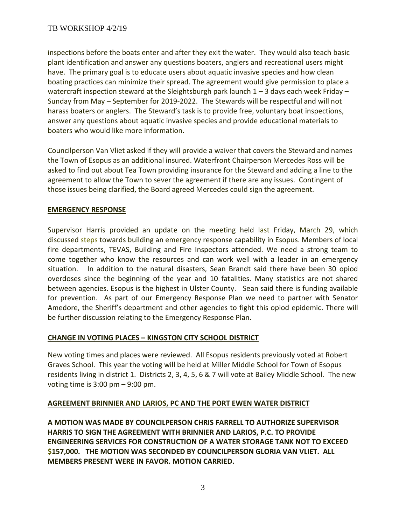inspections before the boats enter and after they exit the water. They would also teach basic plant identification and answer any questions boaters, anglers and recreational users might have. The primary goal is to educate users about aquatic invasive species and how clean boating practices can minimize their spread. The agreement would give permission to place a watercraft inspection steward at the Sleightsburgh park launch  $1 - 3$  days each week Friday – Sunday from May – September for 2019-2022. The Stewards will be respectful and will not harass boaters or anglers. The Steward's task is to provide free, voluntary boat inspections, answer any questions about aquatic invasive species and provide educational materials to boaters who would like more information.

Councilperson Van Vliet asked if they will provide a waiver that covers the Steward and names the Town of Esopus as an additional insured. Waterfront Chairperson Mercedes Ross will be asked to find out about Tea Town providing insurance for the Steward and adding a line to the agreement to allow the Town to sever the agreement if there are any issues. Contingent of those issues being clarified, the Board agreed Mercedes could sign the agreement.

# **EMERGENCY RESPONSE**

Supervisor Harris provided an update on the meeting held last Friday, March 29, which discussed steps towards building an emergency response capability in Esopus. Members of local fire departments, TEVAS, Building and Fire Inspectors attended. We need a strong team to come together who know the resources and can work well with a leader in an emergency situation. In addition to the natural disasters, Sean Brandt said there have been 30 opiod overdoses since the beginning of the year and 10 fatalities. Many statistics are not shared between agencies. Esopus is the highest in Ulster County. Sean said there is funding available for prevention. As part of our Emergency Response Plan we need to partner with Senator Amedore, the Sheriff's department and other agencies to fight this opiod epidemic. There will be further discussion relating to the Emergency Response Plan.

# **CHANGE IN VOTING PLACES – KINGSTON CITY SCHOOL DISTRICT**

New voting times and places were reviewed. All Esopus residents previously voted at Robert Graves School. This year the voting will be held at Miller Middle School for Town of Esopus residents living in district 1. Districts 2, 3, 4, 5, 6 & 7 will vote at Bailey Middle School. The new voting time is 3:00 pm – 9:00 pm.

# **AGREEMENT BRINNIER AND LARIOS, PC AND THE PORT EWEN WATER DISTRICT**

**A MOTION WAS MADE BY COUNCILPERSON CHRIS FARRELL TO AUTHORIZE SUPERVISOR HARRIS TO SIGN THE AGREEMENT WITH BRINNIER AND LARIOS, P.C. TO PROVIDE ENGINEERING SERVICES FOR CONSTRUCTION OF A WATER STORAGE TANK NOT TO EXCEED \$157,000. THE MOTION WAS SECONDED BY COUNCILPERSON GLORIA VAN VLIET. ALL MEMBERS PRESENT WERE IN FAVOR. MOTION CARRIED.**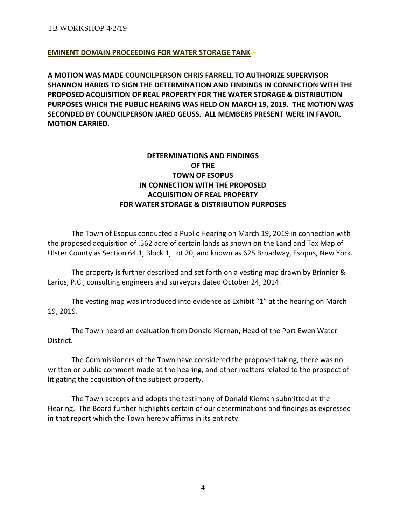### **EMINENT DOMAIN PROCEEDING FOR WATER STORAGE TANK** –

**A MOTION WAS MADE COUNCILPERSON CHRIS FARRELL TO AUTHORIZE SUPERVISOR SHANNON HARRIS TO SIGN THE DETERMINATION AND FINDINGS IN CONNECTION WITH THE PROPOSED ACQUISITION OF REAL PROPERTY FOR THE WATER STORAGE & DISTRIBUTION PURPOSES WHICH THE PUBLIC HEARING WAS HELD ON MARCH 19, 2019. THE MOTION WAS SECONDED BY COUNCILPERSON JARED GEUSS. ALL MEMBERS PRESENT WERE IN FAVOR. MOTION CARRIED.** 

# **DETERMINATIONS AND FINDINGS OF THE TOWN OF ESOPUS IN CONNECTION WITH THE PROPOSED ACQUISITION OF REAL PROPERTY FOR WATER STORAGE & DISTRIBUTION PURPOSES**

The Town of Esopus conducted a Public Hearing on March 19, 2019 in connection with the proposed acquisition of .562 acre of certain lands as shown on the Land and Tax Map of Ulster County as Section 64.1, Block 1, Lot 20, and known as 625 Broadway, Esopus, New York.

The property is further described and set forth on a vesting map drawn by Brinnier & Larios, P.C., consulting engineers and surveyors dated October 24, 2014.

The vesting map was introduced into evidence as Exhibit "1" at the hearing on March 19, 2019.

The Town heard an evaluation from Donald Kiernan, Head of the Port Ewen Water District.

The Commissioners of the Town have considered the proposed taking, there was no written or public comment made at the hearing, and other matters related to the prospect of litigating the acquisition of the subject property.

The Town accepts and adopts the testimony of Donald Kiernan submitted at the Hearing. The Board further highlights certain of our determinations and findings as expressed in that report which the Town hereby affirms in its entirety.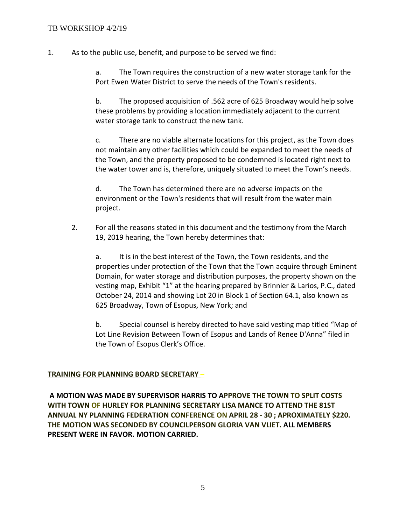1. As to the public use, benefit, and purpose to be served we find:

a. The Town requires the construction of a new water storage tank for the Port Ewen Water District to serve the needs of the Town's residents.

b. The proposed acquisition of .562 acre of 625 Broadway would help solve these problems by providing a location immediately adjacent to the current water storage tank to construct the new tank.

c. There are no viable alternate locations for this project, as the Town does not maintain any other facilities which could be expanded to meet the needs of the Town, and the property proposed to be condemned is located right next to the water tower and is, therefore, uniquely situated to meet the Town's needs.

d. The Town has determined there are no adverse impacts on the environment or the Town's residents that will result from the water main project.

2. For all the reasons stated in this document and the testimony from the March 19, 2019 hearing, the Town hereby determines that:

a. It is in the best interest of the Town, the Town residents, and the properties under protection of the Town that the Town acquire through Eminent Domain, for water storage and distribution purposes, the property shown on the vesting map, Exhibit "1" at the hearing prepared by Brinnier & Larios, P.C., dated October 24, 2014 and showing Lot 20 in Block 1 of Section 64.1, also known as 625 Broadway, Town of Esopus, New York; and

b. Special counsel is hereby directed to have said vesting map titled "Map of Lot Line Revision Between Town of Esopus and Lands of Renee D'Anna" filed in the Town of Esopus Clerk's Office.

# **TRAINING FOR PLANNING BOARD SECRETARY –**

**A MOTION WAS MADE BY SUPERVISOR HARRIS TO APPROVE THE TOWN TO SPLIT COSTS WITH TOWN OF HURLEY FOR PLANNING SECRETARY LISA MANCE TO ATTEND THE 81ST ANNUAL NY PLANNING FEDERATION CONFERENCE ON APRIL 28 - 30 ; APROXIMATELY \$220. THE MOTION WAS SECONDED BY COUNCILPERSON GLORIA VAN VLIET. ALL MEMBERS PRESENT WERE IN FAVOR. MOTION CARRIED.**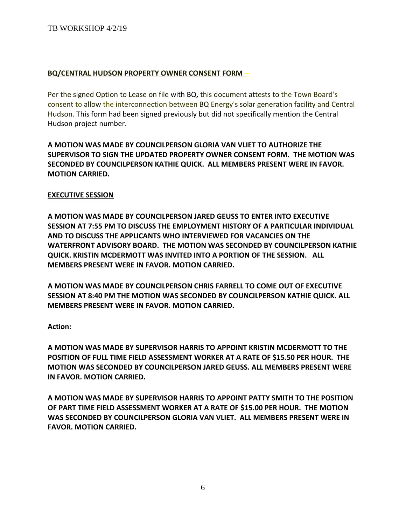### TB WORKSHOP 4/2/19

### **BQ/CENTRAL HUDSON PROPERTY OWNER CONSENT FORM** –

Per the signed Option to Lease on file with BQ, this document attests to the Town Board's consent to allow the interconnection between BQ Energy's solar generation facility and Central Hudson. This form had been signed previously but did not specifically mention the Central Hudson project number.

**A MOTION WAS MADE BY COUNCILPERSON GLORIA VAN VLIET TO AUTHORIZE THE SUPERVISOR TO SIGN THE UPDATED PROPERTY OWNER CONSENT FORM. THE MOTION WAS SECONDED BY COUNCILPERSON KATHIE QUICK. ALL MEMBERS PRESENT WERE IN FAVOR. MOTION CARRIED.** 

#### **EXECUTIVE SESSION**

**A MOTION WAS MADE BY COUNCILPERSON JARED GEUSS TO ENTER INTO EXECUTIVE SESSION AT 7:55 PM TO DISCUSS THE EMPLOYMENT HISTORY OF A PARTICULAR INDIVIDUAL AND TO DISCUSS THE APPLICANTS WHO INTERVIEWED FOR VACANCIES ON THE WATERFRONT ADVISORY BOARD. THE MOTION WAS SECONDED BY COUNCILPERSON KATHIE QUICK. KRISTIN MCDERMOTT WAS INVITED INTO A PORTION OF THE SESSION. ALL MEMBERS PRESENT WERE IN FAVOR. MOTION CARRIED.** 

**A MOTION WAS MADE BY COUNCILPERSON CHRIS FARRELL TO COME OUT OF EXECUTIVE SESSION AT 8:40 PM THE MOTION WAS SECONDED BY COUNCILPERSON KATHIE QUICK. ALL MEMBERS PRESENT WERE IN FAVOR. MOTION CARRIED.** 

**Action:**

**A MOTION WAS MADE BY SUPERVISOR HARRIS TO APPOINT KRISTIN MCDERMOTT TO THE POSITION OF FULL TIME FIELD ASSESSMENT WORKER AT A RATE OF \$15.50 PER HOUR. THE MOTION WAS SECONDED BY COUNCILPERSON JARED GEUSS. ALL MEMBERS PRESENT WERE IN FAVOR. MOTION CARRIED.** 

**A MOTION WAS MADE BY SUPERVISOR HARRIS TO APPOINT PATTY SMITH TO THE POSITION OF PART TIME FIELD ASSESSMENT WORKER AT A RATE OF \$15.00 PER HOUR. THE MOTION WAS SECONDED BY COUNCILPERSON GLORIA VAN VLIET. ALL MEMBERS PRESENT WERE IN FAVOR. MOTION CARRIED.**